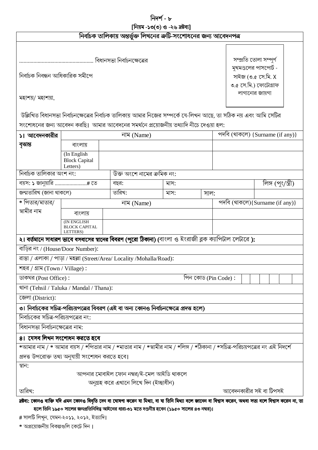নিদৰ্শ - ৮

|                                                                                   |                                                 |  | [নিয়ম -১৩(৩) ও -২৬ দ্রষ্টব্য]                                                                                                          |      |  |      |                                                                                                                  |  |  |  |
|-----------------------------------------------------------------------------------|-------------------------------------------------|--|-----------------------------------------------------------------------------------------------------------------------------------------|------|--|------|------------------------------------------------------------------------------------------------------------------|--|--|--|
|                                                                                   |                                                 |  | নির্বাচক তালিকায় অন্তর্ভুক্ত লিখনের ত্রুটি-সংশোধনের জন্য আবেদনপত্র                                                                     |      |  |      |                                                                                                                  |  |  |  |
| বিধানসভা নির্বাচনক্ষেত্রের<br>নিৰ্বাচক নিবন্ধন আধিকারিক সমীপে<br>মহাশয়/ মহাশয়া, |                                                 |  |                                                                                                                                         |      |  |      | সম্প্ৰতি তোলা সম্পূৰ্ণ<br>মুখমণ্ডলের পাসপোর্ট -<br>সাইজ (৩.৫ সে.মি. X<br>৩.৫ সে.মি.) ফোটোগ্ৰাফ<br>লাগানোর জায়গা |  |  |  |
|                                                                                   |                                                 |  | উল্লিখিত বিধানসভা নির্বাচনক্ষেত্রের নির্বাচক তালিকায় আমার নিজের সম্পর্কে যে-লিখন আছে, তা সঠিক নয় এবং আমি সেটির                        |      |  |      |                                                                                                                  |  |  |  |
|                                                                                   |                                                 |  | সংশোধনের জন্য আবেদন করছি। আমার আবেদনের সমর্থনে প্রয়োজনীয় তথ্যাদি নীচে দেওয়া হল:                                                      |      |  |      |                                                                                                                  |  |  |  |
| ১। আবেদনকারীর                                                                     | নাম (Name)                                      |  |                                                                                                                                         |      |  |      | পদবি (থাকলে) {Surname (if any)}                                                                                  |  |  |  |
| বৃত্তান্ত                                                                         | বাংলায়                                         |  |                                                                                                                                         |      |  |      |                                                                                                                  |  |  |  |
|                                                                                   | (In English<br><b>Block Capital</b><br>Letters) |  |                                                                                                                                         |      |  |      |                                                                                                                  |  |  |  |
| নির্বাচক তালিকার অংশ নং:                                                          |                                                 |  | উক্ত অংশে নামের ক্রমিক নং:                                                                                                              |      |  |      |                                                                                                                  |  |  |  |
| বয়স: ১ জানুয়ারি # তে                                                            |                                                 |  | বছর:                                                                                                                                    | মাস: |  |      | লিঙ্গ (পুং/স্ত্রী)                                                                                               |  |  |  |
| জন্মতারিখ (জানা থাকলে)                                                            |                                                 |  | তারিখ:                                                                                                                                  | মাস: |  | সাল: |                                                                                                                  |  |  |  |
| * পিতার/মাতার/                                                                    |                                                 |  | নাম (Name)                                                                                                                              |      |  |      | পদবি (থাকলে){Surname (if any)}                                                                                   |  |  |  |
| স্বামীর নাম                                                                       | বাংলায়                                         |  |                                                                                                                                         |      |  |      |                                                                                                                  |  |  |  |
|                                                                                   | (IN ENGLISH<br><b>BLOCK CAPITAL</b><br>LETTERS) |  |                                                                                                                                         |      |  |      |                                                                                                                  |  |  |  |
|                                                                                   |                                                 |  | ২। বর্তমানে সাধারণ ভাবে বসবাসের স্থানের বিবরণ (পুরো ঠিকানা) (বাংলা ও ইংরাজী ব্লক ক্যাপিটাল লেটারে ):                                    |      |  |      |                                                                                                                  |  |  |  |
| বাড়ির নং / (House/Door Number):                                                  |                                                 |  |                                                                                                                                         |      |  |      |                                                                                                                  |  |  |  |
|                                                                                   |                                                 |  | রাস্তা / এলাকা / পাড়া / মহল্লা (Street/Area/ Locality /Mohalla/Road):                                                                  |      |  |      |                                                                                                                  |  |  |  |
| শহর / গ্রাম (Town / Village):                                                     |                                                 |  |                                                                                                                                         |      |  |      |                                                                                                                  |  |  |  |
| পিন কোড (Pin Code):<br>ডাকঘর (Post Office):                                       |                                                 |  |                                                                                                                                         |      |  |      |                                                                                                                  |  |  |  |
| থানা (Tehsil / Taluka / Mandal / Thana):                                          |                                                 |  |                                                                                                                                         |      |  |      |                                                                                                                  |  |  |  |
| জেলা (District):                                                                  |                                                 |  |                                                                                                                                         |      |  |      |                                                                                                                  |  |  |  |
|                                                                                   |                                                 |  | ৩। নির্বাচকের সচিত্র-পরিচয়পত্রের বিবরণ (এই বা অন্য কোনও নির্বাচনক্ষেত্রে প্রদত্ত হলে)                                                  |      |  |      |                                                                                                                  |  |  |  |
| নির্বাচকের সচিত্র-পরিচয়পত্রের নং:                                                |                                                 |  |                                                                                                                                         |      |  |      |                                                                                                                  |  |  |  |
| বিধানসভা নির্বাচনক্ষেত্রের নাম:                                                   |                                                 |  |                                                                                                                                         |      |  |      |                                                                                                                  |  |  |  |
| 81 যেসব লিখন সংশোধন করতে হবে                                                      |                                                 |  |                                                                                                                                         |      |  |      |                                                                                                                  |  |  |  |
|                                                                                   |                                                 |  | *আমার নাম / * আমার বয়স / *পিতার নাম / *মাতার নাম / *স্বামীর নাম / *লিঙ্গ / *ঠিকানা / *সচিত্র-পরিচয়পত্রের নং এই নিদর্শে                |      |  |      |                                                                                                                  |  |  |  |
| প্রদত্ত উপরোক্ত তথ্য অনুযায়ী সংশোধন করতে হবে।                                    |                                                 |  |                                                                                                                                         |      |  |      |                                                                                                                  |  |  |  |
| স্থান:                                                                            |                                                 |  |                                                                                                                                         |      |  |      |                                                                                                                  |  |  |  |
|                                                                                   |                                                 |  | আপনার মোবাইল ফোন নম্বর/ই-মেল আইডি থাকলে                                                                                                 |      |  |      |                                                                                                                  |  |  |  |
| তারিখ:                                                                            |                                                 |  | অনুগ্রহ করে এখানে লিখে দিন (ইচ্ছাধীন)                                                                                                   |      |  |      | আবেদনকারীর সই বা টিপসই                                                                                           |  |  |  |
|                                                                                   |                                                 |  | দ্রষ্টব্য: কোনও ব্যক্তি যদি এমন কোনও বিবৃতি দেন বা ঘোষণা করেন যা মিথ্যা, বা যা তিনি মিথ্যা বলে জানেন বা বিশ্বাস করে বিশ্বাস করেন না, তা |      |  |      |                                                                                                                  |  |  |  |

হলে তিনি ১৯৫০ সালের জনপ্রতিনিধিত্ব আইনের ধারা-৩১ মতে দণ্ডনীয় হবেন (১৯৫০ সালের ৪৩ নম্বর)।

# সালটি লিখুন, যেমন-২০১১, ২০১২, ইত্যাদি।

\* অপ্রয়োজনীয় বিকল্পগুলি কেটে দিন।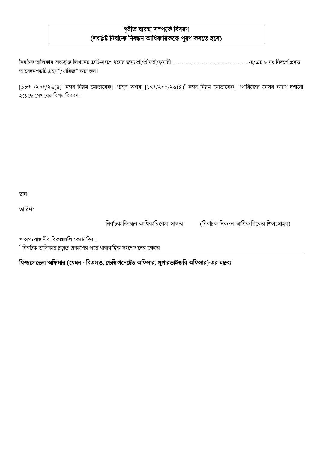# গৃহীত ব্যবস্থা সম্পর্কে বিবরণ (সংশ্লিষ্ট নির্বাচক নিবন্ধন আধিকারিককে পূরণ করতে হবে)

আবেদনপত্রটি গ্রহণ\*/খারিজ\* করা হল।

 $[5b* / 80*/ 80]$  নম্বর নিয়ম মোতাবেক] \*গ্রহণ অথবা  $[54*/ 80*/ 80]$  নম্বর নিয়ম মোতাবেক] \*খারিজের যেসব কারণ দর্শানো হয়েছে সেসবের বিশদ বিবরণ:

স্থান:

তারিখ:

নির্বাচক নিবন্ধন আধিকারিকের স্বাক্ষর

(নির্বাচক নিবন্ধন আধিকারিকের শিলমোহর)

\* অপ্রয়োজনীয় বিকল্পগুলি কেটে দিন।

 $^{\rm \epsilon}$  নির্বাচক তালিকার চূড়ান্ত প্রকাশের পরে ধারাবাহিক সংশোধনের ক্ষেত্রে

ফিল্ডলেভেল অফিসার (যেমন - বিএলও, ডেজিগনেটেড অফিসার, সুপারভাইজরি অফিসার)-এর মন্তব্য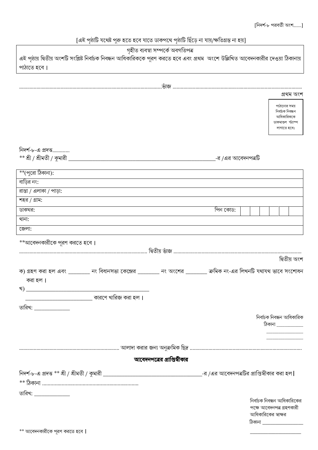# [এই পৃষ্ঠাটি যথেষ্ট পুরু হতে হবে যাতে ডাকপথে পৃষ্ঠাটি ছিঁড়ে না যায়/ক্ষতিগ্রস্ত না হয়]

| গৃহীত ব্যবস্থা সম্পৰ্কে অবগতিপত্ৰ                                                                                                  |                    |                                                 |
|------------------------------------------------------------------------------------------------------------------------------------|--------------------|-------------------------------------------------|
| এই পৃষ্ঠায় দ্বিতীয় অংশটি সংশ্লিষ্ট নির্বাচক নিবন্ধন আধিকারিককে পূরণ করতে হবে এবং প্রথম  অংশে উল্লিখিত আবেদনকারীর দেওয়া ঠিকানায় |                    |                                                 |
| পাঠাতে হবে।                                                                                                                        |                    |                                                 |
|                                                                                                                                    |                    |                                                 |
|                                                                                                                                    |                    |                                                 |
|                                                                                                                                    |                    | প্ৰথম অংশ                                       |
|                                                                                                                                    |                    | পাঠানোর সময়                                    |
|                                                                                                                                    |                    | নিৰ্বাচক নিবন্ধন<br>আধিকারিককে                  |
|                                                                                                                                    |                    | ডাকমাশুল স্ট্যাম্প<br>লাগাতে হবে।               |
|                                                                                                                                    |                    |                                                 |
|                                                                                                                                    |                    |                                                 |
| নিদর্শ-৮-এ প্রদত্ত                                                                                                                 |                    |                                                 |
| $*$ * শ্রী / শ্রীমতী / কুমারী _                                                                                                    | -র /এর আবেদনপত্রটি |                                                 |
| **(পুরো ঠিকানা):                                                                                                                   |                    |                                                 |
| বাড়ির নং:                                                                                                                         |                    |                                                 |
| রাস্তা / এলাকা / পাড়া:                                                                                                            |                    |                                                 |
| শহর / গ্রাম:                                                                                                                       |                    |                                                 |
| ডাকঘর:                                                                                                                             | পিন কোড:           |                                                 |
| থানা:                                                                                                                              |                    |                                                 |
| জেলা:                                                                                                                              |                    |                                                 |
|                                                                                                                                    |                    |                                                 |
| **আবেদনকারীকে পূরণ করতে হবে।                                                                                                       |                    |                                                 |
|                                                                                                                                    |                    | দ্বিতীয় অংশ                                    |
|                                                                                                                                    |                    |                                                 |
| ক) গ্রহণ করা হল এবং ________ নং বিধানসভা কেন্দ্রের _______ নং অংশের ________ ক্রমিক নং-এর লিখনটি যথাযথ ভাবে সংশোধন                 |                    |                                                 |
| করা হল।                                                                                                                            |                    |                                                 |
|                                                                                                                                    |                    |                                                 |
|                                                                                                                                    |                    |                                                 |
| তারিখ: <b>______________</b>                                                                                                       |                    |                                                 |
|                                                                                                                                    |                    | নিৰ্বাচক নিবন্ধন আধিকারিক<br>ঠিকানা ___________ |
|                                                                                                                                    |                    |                                                 |
|                                                                                                                                    |                    |                                                 |
|                                                                                                                                    |                    |                                                 |
| আবেদনপত্রের প্রাপ্তিস্বীকার                                                                                                        |                    |                                                 |
|                                                                                                                                    |                    |                                                 |
|                                                                                                                                    |                    |                                                 |
|                                                                                                                                    |                    |                                                 |
| তারিখ: <b>______________</b>                                                                                                       |                    | নির্বাচক নিবন্ধন আধিকারিকের                     |
|                                                                                                                                    |                    | পক্ষে আবেদনপত্র গ্রহণকারী                       |
|                                                                                                                                    |                    | আধিকারিকের স্বাক্ষর                             |
|                                                                                                                                    |                    | ঠিকানা <b>_________________</b> ____            |
| ** আবেদনকারীকে পূরণ করতে হবে                                                                                                       |                    |                                                 |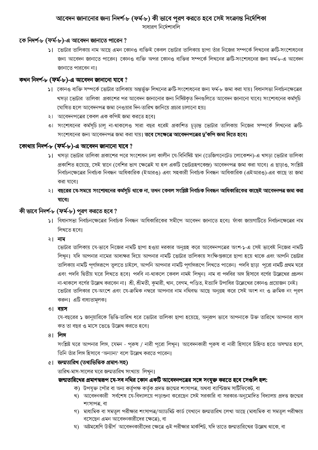# আবেদন জানানোর জন্য নিদর্শ-৮ (ফর্ম-৮) কী ভাবে পূরণ করতে হবে সেই সংক্রান্ত নির্দেশিকা

সাধারণ নির্দেশাবলি

## কে নিদর্শ-৮ (ফর্ম-৮)-এ আবেদন জানাতে পারেন ?

১। ভোটার তালিকায় নাম আছে এমন কোনও ব্যক্তিই কেবল ভোটার তালিকায় ছাপা তাঁর নিজের সম্পর্কে লিখনের ক্রটি-সংশোধনের জন্য আবেদন জানাতে পারেন। কোনও ব্যক্তি অপর কোনও ব্যক্তির সম্পর্কে লিখনের ত্রুটি-সংশোধনের জন্য ফর্ম-৮-এ আবেদন জানাতে পারবেন না।

# কখন নিদৰ্শ-৮ (ফৰ্ম-৮)-এ আবেদন জানানো যাবে ?

- ১। কোনও ব্যক্তি সম্পর্কে ভোটার তালিকায় অন্তর্ভুক্ত লিখনের ক্রটি-সংশোধনের জন্য ফর্ম-৮ জমা করা যায়। বিধানসভা নির্বাচনক্ষেত্রের খসড়া ভোটার তালিকা প্রকাশের পর আবেদন জানানোর জন্য নির্দিষ্টকৃত দিনগুলিতে আবেদন জানানো যাবে। সংশোধনের কর্মসূচি ঘোষিত হলে আবেদনপত্র জমা নেওয়ার দিন-তারিখ জানিয়ে প্রচার চালানো হয়।
- ২। আবেদনপত্রের কেবল এক কপিই জমা করতে হবে।
- ৩। সংশোধনের কর্মসূচি চাল না-থাকলেও সারা বছর ধরেই প্রকাশিত চূডান্ত ভোটার তালিকায় নিজের সম্পর্কে লিখনের ক্রটি-সংশোধনের জন্য আবেদনপত্র জমা করা যায়। তবে সেক্ষেত্রে আবেদনপত্রের দু'কপি জমা দিতে হবে।

# কোথায় নিদর্শ-৮ (ফর্ম-৮)-এ আবেদন জানানো যাবে ?

- ১। খসড়া ভোটার তালিকা প্রকাশের পরে সংশোধন চলা কালীন যে-বিনির্দিষ্ট স্থান (ডেজিগনেটেড লোকেশন)-এ খসড়া ভোটার তালিকা প্রকাশিত হয়েছে, সেই স্থানে (বেশির ভাগ ক্ষেত্রেই যা হল একটি ভোটগ্রহণকেন্দ্র) আবেদনপত্র জমা করা যাবে। এ ছাডাও, সংশ্লিষ্ট নির্বাচনক্ষেত্রের নির্বাচক নিবন্ধন আধিকারিক (ইআরও) এবং সহকারী নির্বাচক নিবন্ধন আধিকারিক (এইআরও)-এর কাছে তা জমা করা যাবে।
- ২। বছরের যে-সময়ে সংশোধনের কর্মসূচি থাকে না, তখন কেবল সংশ্লিষ্ট নির্বাচক নিবন্ধন আধিকারিকের কাছেই আবেদনপত্র জমা করা যাবে।

# কী ভাবে নিদর্শ-৮ (ফর্ম-৮) পূরণ করতে হবে ?

- ১। বিধানসভা নির্বাচনক্ষেত্রের নির্বাচক নিবন্ধন আধিকারিকের সমীপে আবেদন জানাতে হবে। ফাঁকা জায়গাটিতে নির্বাচনক্ষেত্রের নাম লিখতে হবে।
- ২। নাম

ডোটার তালিকায় যে-ভাবে নিজের নামটি ছাপা হওয়া দরকার অনুগ্রহ করে আবেদনপত্রের অংশ-১-এ সেই ভাবেই নিজের নামটি লিখুন। যদি আপনার নামের আদ্যক্ষর দিয়ে আপনার নামটি ভোটার তালিকায় সংক্ষিপ্তকারে ছাপা হয়ে থাকে এবং আপনি ভোটার তালিকায় নামটি পূর্ণাঙ্গরূপে তুলতে চাইলে, আপনি আপনার নামটি পূর্ণাঙ্গরূপে লিখতে পারেন। পদবি ছাড়া পুরো নামটি প্রথম ঘরে এবং পদবি দ্বিতীয় ঘরে লিখতে হবে। পদবি না-থাকলে কেবল নামই লিখন। নাম বা পদবির অঙ্গ হিসাবে বর্ণের উল্লেখের প্রচলন না-থাকলে বর্ণের উল্লেখ করবেন না। শ্রী, শ্রীমতী, কুমারী, খান, বেগম, পণ্ডিত, ইত্যাদি উপাধির উল্লেখের কোনও প্রয়োজন নেই। ডোটার তালিকার যে-অংশে এবং যে-ক্রমিক নম্বরে আপনার নাম নথিবদ্ধ আছে অনুগ্রহ করে সেই অংশ নং ও ক্রমিক নং পূরণ করুন। এটি বাধ্যতামূলক।

#### ৩। বয়স

যে-বছরের ১ জানুয়ারিকে ভিত্তি-তারিখ ধরে ভোটার তালিকা ছাপা হয়েছে, অনুরূপ ভাবে আপনাকে উক্ত তারিখে আপনার বয়স কত তা বছর ও মাসে ভেঙে উল্লেখ করতে হবে।

#### ৪। লিঙ্গ

সংশ্লিষ্ট ঘরে আপনার লিঙ্গ, যেমন - পুরুষ / নারী পুরো লিখুন। আবেদনকারী পুরুষ বা নারী হিসাবে চিহ্নিত হতে অসম্মত হলে, তিনি তাঁর লিঙ্গ হিসাবে 'অন্যান্য' বলে উল্লেখ করতে পারেন।

## ৫। জন্মতারিখ (তথ্যভিত্তিক প্রমাণ-সহ)

তারিখ-মাস-সালের ঘরে জন্মতারিখ সংখ্যায় লিখন।

# জন্মতারিখের প্রমাণস্বরূপ যে-সব নথির কোন একটি আবেদনপত্রের সঙ্গে সংযুক্ত করতে হবে সেগুলি হল:

- ক) উপযুক্ত পৌর বা অন্য কর্তৃপক্ষ কর্তৃক প্রদত্ত জন্মের শংসাপত্র, অথবা ব্যাপ্টিজম সার্টিফিকেট, বা
- খ) আবেদনকারী সর্বশেষ যে-বিদ্যালয়ে পড়াশুনা করেছেন সেই সরকারি বা সরকার-অনুমোদিত বিদ্যালয় প্রদত্ত জন্মের শংসাপত্র, বা
- গ) মাধ্যমিক বা সমতুল পরীক্ষার শংসাপত্র/অ্যাডমিট কার্ড যেখানে জন্মতারিখ লেখা আছে (মাধ্যমিক বা সমতুল পরীক্ষায় বসেছেন এমন আবেদনকারীদের ক্ষেত্রে), বা
- ঘ) অষ্টমশ্রেণি উত্তীর্ণ আবেদনকারীদের ক্ষেত্রে ওই পরীক্ষার মার্কশিট, যদি তাতে জন্মতারিখের উল্লেখ থাকে, বা